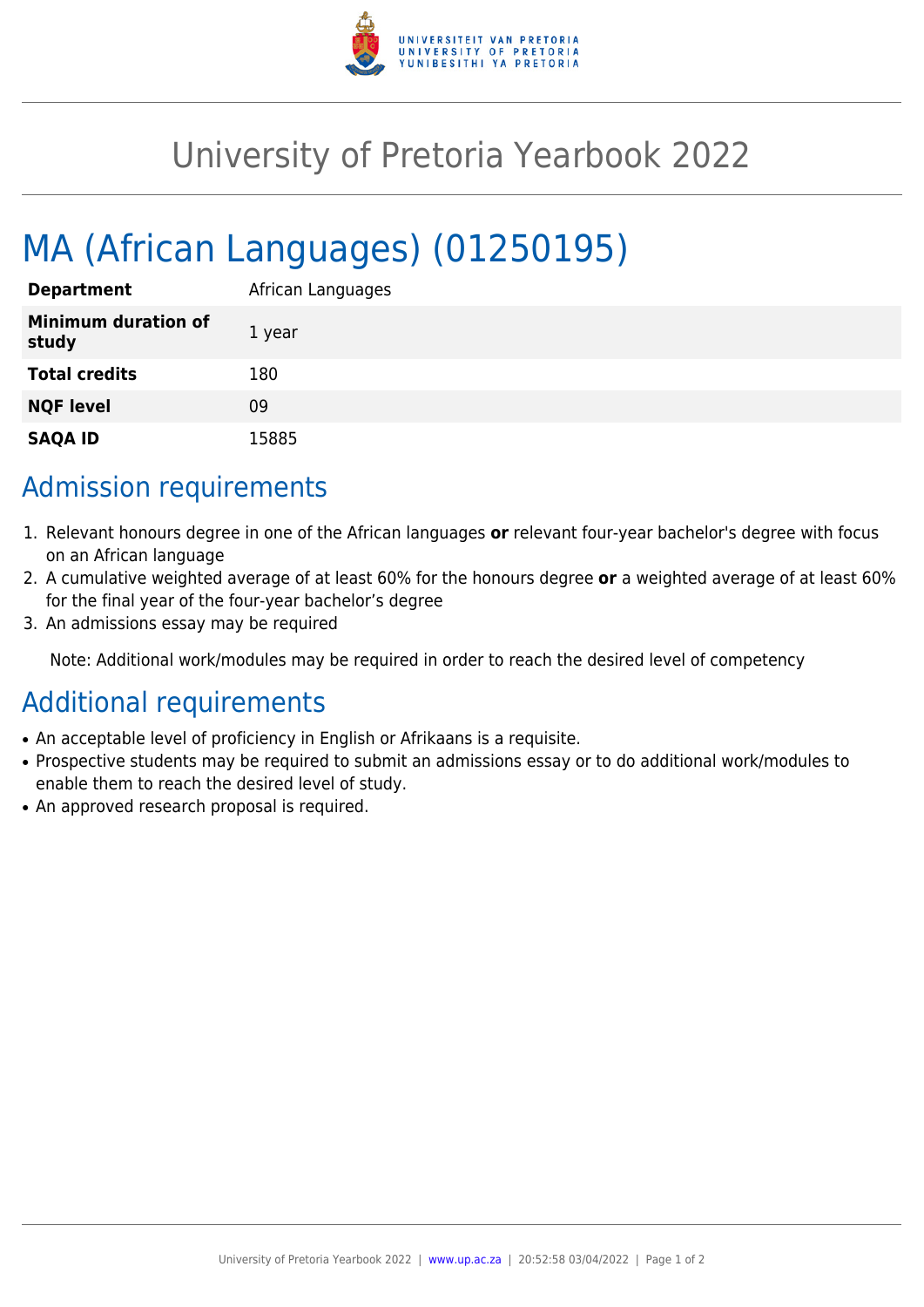

## University of Pretoria Yearbook 2022

# MA (African Languages) (01250195)

| <b>Department</b>                   | African Languages |
|-------------------------------------|-------------------|
| <b>Minimum duration of</b><br>study | 1 year            |
| <b>Total credits</b>                | 180               |
| <b>NQF level</b>                    | 09                |
| <b>SAQA ID</b>                      | 15885             |

### Admission requirements

- 1. Relevant honours degree in one of the African languages **or** relevant four-year bachelor's degree with focus on an African language
- 2. A cumulative weighted average of at least 60% for the honours degree **or** a weighted average of at least 60% for the final year of the four-year bachelor's degree
- 3. An admissions essay may be required

Note: Additional work/modules may be required in order to reach the desired level of competency

#### Additional requirements

- An acceptable level of proficiency in English or Afrikaans is a requisite.
- Prospective students may be required to submit an admissions essay or to do additional work/modules to enable them to reach the desired level of study.
- An approved research proposal is required.